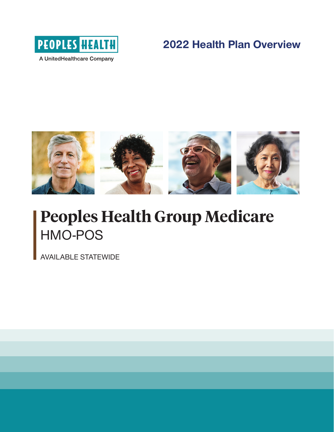

## **2022 Health Plan Overview**



## **Peoples Health Group Medicare** HMO-POS

AVAILABLE STATEWIDE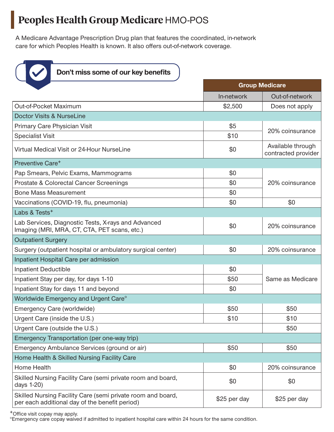## **Peoples Health Group Medicare** HMO-POS

A Medicare Advantage Prescription Drug plan that features the coordinated, in-network care for which Peoples Health is known. It also offers out-of-network coverage.



Don't miss some of our key benefits

|                                                                                                               | <b>Group Medicare</b> |                                          |  |  |
|---------------------------------------------------------------------------------------------------------------|-----------------------|------------------------------------------|--|--|
|                                                                                                               | In-network            | Out-of-network                           |  |  |
| Out-of-Pocket Maximum                                                                                         | \$2,500               | Does not apply                           |  |  |
| <b>Doctor Visits &amp; NurseLine</b>                                                                          |                       |                                          |  |  |
| Primary Care Physician Visit                                                                                  | \$5                   | 20% coinsurance                          |  |  |
| <b>Specialist Visit</b>                                                                                       | \$10                  |                                          |  |  |
| Virtual Medical Visit or 24-Hour NurseLine                                                                    | \$0                   | Available through<br>contracted provider |  |  |
| Preventive Care <sup>+</sup>                                                                                  |                       |                                          |  |  |
| Pap Smears, Pelvic Exams, Mammograms                                                                          | \$0                   |                                          |  |  |
| Prostate & Colorectal Cancer Screenings                                                                       | \$0                   | 20% coinsurance                          |  |  |
| <b>Bone Mass Measurement</b>                                                                                  | \$0                   |                                          |  |  |
| Vaccinations (COVID-19, flu, pneumonia)                                                                       | \$0                   | \$0                                      |  |  |
| Labs & Tests <sup>+</sup>                                                                                     |                       |                                          |  |  |
| Lab Services, Diagnostic Tests, X-rays and Advanced<br>Imaging (MRI, MRA, CT, CTA, PET scans, etc.)           | \$0                   | 20% coinsurance                          |  |  |
| <b>Outpatient Surgery</b>                                                                                     |                       |                                          |  |  |
| Surgery (outpatient hospital or ambulatory surgical center)                                                   | \$0                   | 20% coinsurance                          |  |  |
| Inpatient Hospital Care per admission                                                                         |                       |                                          |  |  |
| <b>Inpatient Deductible</b>                                                                                   | \$0                   |                                          |  |  |
| Inpatient Stay per day, for days 1-10                                                                         | \$50                  | Same as Medicare                         |  |  |
| Inpatient Stay for days 11 and beyond                                                                         | \$0                   |                                          |  |  |
| Worldwide Emergency and Urgent Care <sup>o</sup>                                                              |                       |                                          |  |  |
| Emergency Care (worldwide)                                                                                    | \$50                  | \$50                                     |  |  |
| Urgent Care (inside the U.S.)                                                                                 | \$10                  | \$10                                     |  |  |
| Urgent Care (outside the U.S.)                                                                                |                       | \$50                                     |  |  |
| Emergency Transportation (per one-way trip)                                                                   |                       |                                          |  |  |
| Emergency Ambulance Services (ground or air)                                                                  | \$50                  | \$50                                     |  |  |
| Home Health & Skilled Nursing Facility Care                                                                   |                       |                                          |  |  |
| Home Health                                                                                                   | \$0                   | 20% coinsurance                          |  |  |
| Skilled Nursing Facility Care (semi private room and board,<br>days 1-20)                                     | \$0                   | \$0                                      |  |  |
| Skilled Nursing Facility Care (semi private room and board,<br>per each additional day of the benefit period) | \$25 per day          | \$25 per day                             |  |  |

**+**Office visit copay may apply.

°Emergency care copay waived if admitted to inpatient hospital care within 24 hours for the same condition.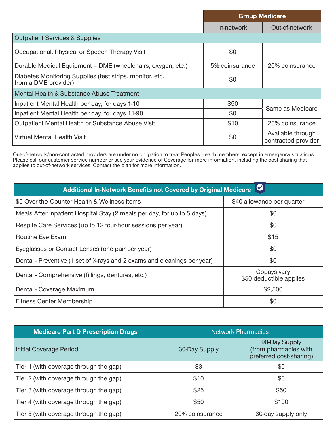|                                                                                  | <b>Group Medicare</b> |                                          |  |
|----------------------------------------------------------------------------------|-----------------------|------------------------------------------|--|
|                                                                                  | In-network            | Out-of-network                           |  |
| <b>Outpatient Services &amp; Supplies</b>                                        |                       |                                          |  |
| Occupational, Physical or Speech Therapy Visit                                   | \$0                   |                                          |  |
| Durable Medical Equipment - DME (wheelchairs, oxygen, etc.)                      | 5% coinsurance        | 20% coinsurance                          |  |
| Diabetes Monitoring Supplies (test strips, monitor, etc.<br>from a DME provider) | \$0                   |                                          |  |
| Mental Health & Substance Abuse Treatment                                        |                       |                                          |  |
| Inpatient Mental Health per day, for days 1-10                                   | \$50                  | Same as Medicare                         |  |
| Inpatient Mental Health per day, for days 11-90                                  | \$0                   |                                          |  |
| Outpatient Mental Health or Substance Abuse Visit                                | \$10                  | 20% coinsurance                          |  |
| Virtual Mental Health Visit                                                      | \$0                   | Available through<br>contracted provider |  |

Out-of-network/non-contracted providers are under no obligation to treat Peoples Health members, except in emergency situations. Please call our customer service number or see your Evidence of Coverage for more information, including the cost-sharing that applies to out-of-network services. Contact the plan for more information.

| Additional In-Network Benefits not Covered by Original Medicare          |                                        |  |  |
|--------------------------------------------------------------------------|----------------------------------------|--|--|
| \$0 Over-the-Counter Health & Wellness Items                             | \$40 allowance per quarter             |  |  |
| Meals After Inpatient Hospital Stay (2 meals per day, for up to 5 days)  | \$0                                    |  |  |
| Respite Care Services (up to 12 four-hour sessions per year)             | \$0                                    |  |  |
| Routine Eye Exam                                                         | \$15                                   |  |  |
| Eyeglasses or Contact Lenses (one pair per year)                         | \$0                                    |  |  |
| Dental - Preventive (1 set of X-rays and 2 exams and cleanings per year) | \$0                                    |  |  |
| Dental - Comprehensive (fillings, dentures, etc.)                        | Copays vary<br>\$50 deductible applies |  |  |
| Dental - Coverage Maximum                                                | \$2,500                                |  |  |
| <b>Fitness Center Membership</b>                                         | \$0                                    |  |  |

| <b>Medicare Part D Prescription Drugs</b> | <b>Network Pharmacies</b> |                                                                   |  |
|-------------------------------------------|---------------------------|-------------------------------------------------------------------|--|
| Initial Coverage Period                   | 30-Day Supply             | 90-Day Supply<br>(from pharmacies with<br>preferred cost-sharing) |  |
| Tier 1 (with coverage through the gap)    | \$3                       | \$0                                                               |  |
| Tier 2 (with coverage through the gap)    | \$10                      | \$0                                                               |  |
| Tier 3 (with coverage through the gap)    | \$25                      | \$50                                                              |  |
| Tier 4 (with coverage through the gap)    | \$50                      | \$100                                                             |  |
| Tier 5 (with coverage through the gap)    | 20% coinsurance           | 30-day supply only                                                |  |